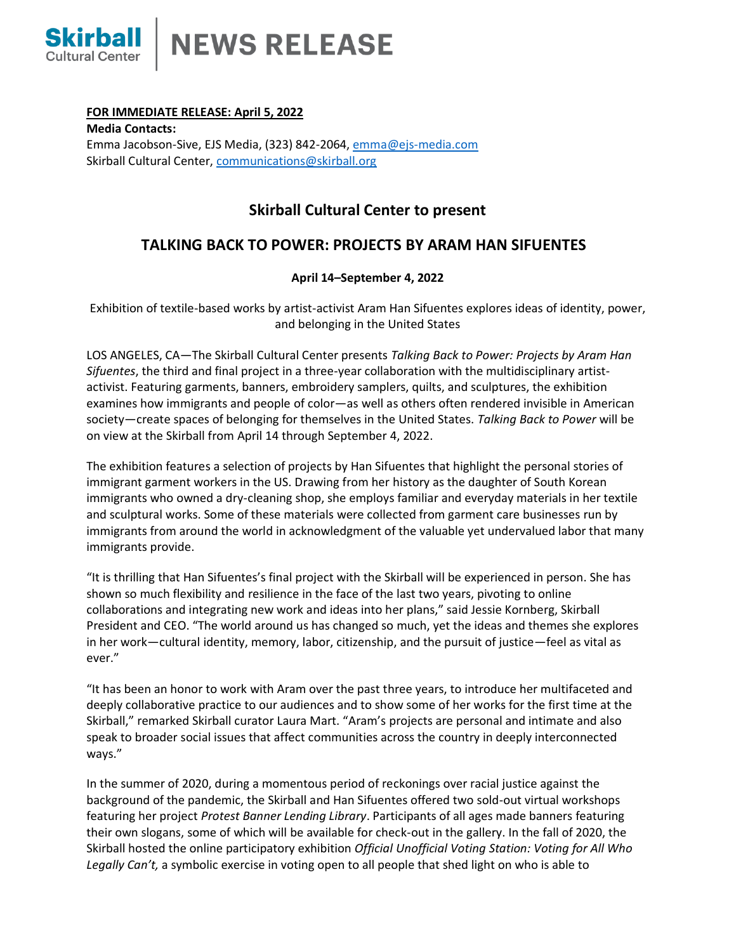

## **FOR IMMEDIATE RELEASE: April 5, 2022**

**Media Contacts:** Emma Jacobson-Sive, EJS Media, (323) 842-2064, [emma@ejs-media.com](mailto:emma@ejs-media.com) Skirball Cultural Center, [communications@skirball.org](mailto:communications@skirball.org)

# **Skirball Cultural Center to present**

# **TALKING BACK TO POWER: PROJECTS BY ARAM HAN SIFUENTES**

# **April 14–September 4, 2022**

Exhibition of textile-based works by artist-activist Aram Han Sifuentes explores ideas of identity, power, and belonging in the United States

LOS ANGELES, CA—The Skirball Cultural Center presents *Talking Back to Power: Projects by Aram Han Sifuentes*, the third and final project in a three-year collaboration with the multidisciplinary artistactivist. Featuring garments, banners, embroidery samplers, quilts, and sculptures, the exhibition examines how immigrants and people of color—as well as others often rendered invisible in American society—create spaces of belonging for themselves in the United States. *Talking Back to Power* will be on view at the Skirball from April 14 through September 4, 2022.

The exhibition features a selection of projects by Han Sifuentes that highlight the personal stories of immigrant garment workers in the US. Drawing from her history as the daughter of South Korean immigrants who owned a dry-cleaning shop, she employs familiar and everyday materials in her textile and sculptural works. Some of these materials were collected from garment care businesses run by immigrants from around the world in acknowledgment of the valuable yet undervalued labor that many immigrants provide.

"It is thrilling that Han Sifuentes's final project with the Skirball will be experienced in person. She has shown so much flexibility and resilience in the face of the last two years, pivoting to online collaborations and integrating new work and ideas into her plans," said Jessie Kornberg, Skirball President and CEO. "The world around us has changed so much, yet the ideas and themes she explores in her work—cultural identity, memory, labor, citizenship, and the pursuit of justice—feel as vital as ever."

"It has been an honor to work with Aram over the past three years, to introduce her multifaceted and deeply collaborative practice to our audiences and to show some of her works for the first time at the Skirball," remarked Skirball curator Laura Mart. "Aram's projects are personal and intimate and also speak to broader social issues that affect communities across the country in deeply interconnected ways."

In the summer of 2020, during a momentous period of reckonings over racial justice against the background of the pandemic, the Skirball and Han Sifuentes offered two sold-out virtual workshops featuring her project *Protest Banner Lending Library*. Participants of all ages made banners featuring their own slogans, some of which will be available for check-out in the gallery. In the fall of 2020, the Skirball hosted the online participatory exhibition *Official Unofficial Voting Station: Voting for All Who Legally Can't,* a symbolic exercise in voting open to all people that shed light on who is able to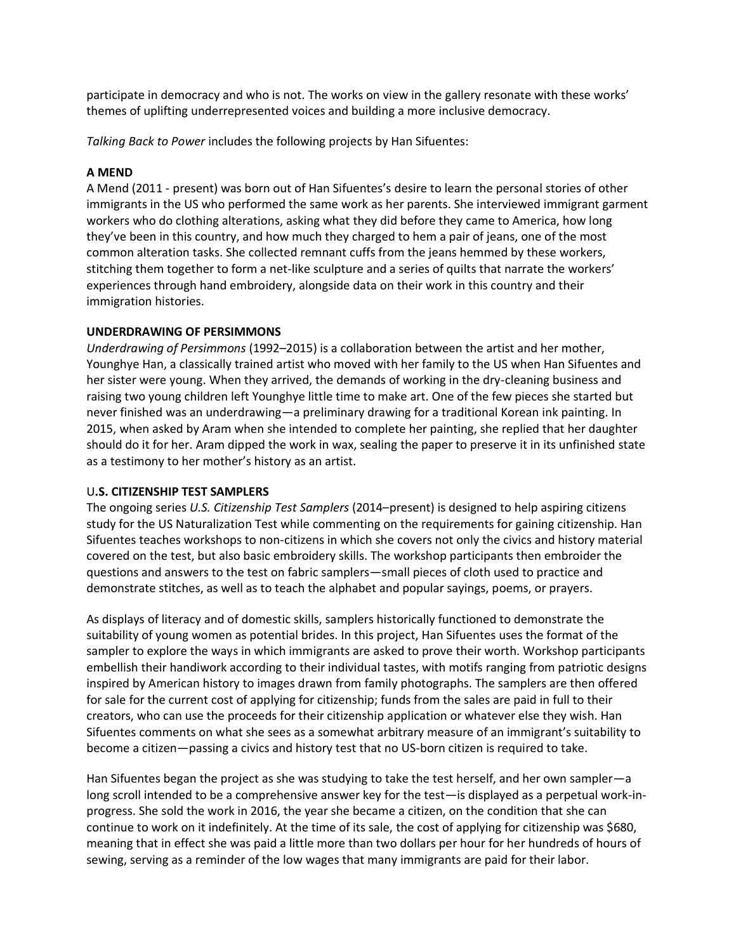participate in democracy and who is not. The works on view in the gallery resonate with these works' themes of uplifting underrepresented voices and building a more inclusive democracy.

*Talking Back to Power* includes the following projects by Han Sifuentes:

### **A MEND**

A Mend (2011 - present) was born out of Han Sifuentes's desire to learn the personal stories of other immigrants in the US who performed the same work as her parents. She interviewed immigrant garment workers who do clothing alterations, asking what they did before they came to America, how long they've been in this country, and how much they charged to hem a pair of jeans, one of the most common alteration tasks. She collected remnant cuffs from the jeans hemmed by these workers, stitching them together to form a net-like sculpture and a series of quilts that narrate the workers' experiences through hand embroidery, alongside data on their work in this country and their immigration histories.

### **UNDERDRAWING OF PERSIMMONS**

*Underdrawing of Persimmons* (1992–2015) is a collaboration between the artist and her mother, Younghye Han, a classically trained artist who moved with her family to the US when Han Sifuentes and her sister were young. When they arrived, the demands of working in the dry-cleaning business and raising two young children left Younghye little time to make art. One of the few pieces she started but never finished was an underdrawing—a preliminary drawing for a traditional Korean ink painting. In 2015, when asked by Aram when she intended to complete her painting, she replied that her daughter should do it for her. Aram dipped the work in wax, sealing the paper to preserve it in its unfinished state as a testimony to her mother's history as an artist.

## U**.S. CITIZENSHIP TEST SAMPLERS**

The ongoing series *U.S. Citizenship Test Samplers* (2014–present) is designed to help aspiring citizens study for the US Naturalization Test while commenting on the requirements for gaining citizenship. Han Sifuentes teaches workshops to non-citizens in which she covers not only the civics and history material covered on the test, but also basic embroidery skills. The workshop participants then embroider the questions and answers to the test on fabric samplers—small pieces of cloth used to practice and demonstrate stitches, as well as to teach the alphabet and popular sayings, poems, or prayers.

As displays of literacy and of domestic skills, samplers historically functioned to demonstrate the suitability of young women as potential brides. In this project, Han Sifuentes uses the format of the sampler to explore the ways in which immigrants are asked to prove their worth. Workshop participants embellish their handiwork according to their individual tastes, with motifs ranging from patriotic designs inspired by American history to images drawn from family photographs. The samplers are then offered for sale for the current cost of applying for citizenship; funds from the sales are paid in full to their creators, who can use the proceeds for their citizenship application or whatever else they wish. Han Sifuentes comments on what she sees as a somewhat arbitrary measure of an immigrant's suitability to become a citizen—passing a civics and history test that no US-born citizen is required to take.

Han Sifuentes began the project as she was studying to take the test herself, and her own sampler—a long scroll intended to be a comprehensive answer key for the test—is displayed as a perpetual work-inprogress. She sold the work in 2016, the year she became a citizen, on the condition that she can continue to work on it indefinitely. At the time of its sale, the cost of applying for citizenship was \$680, meaning that in effect she was paid a little more than two dollars per hour for her hundreds of hours of sewing, serving as a reminder of the low wages that many immigrants are paid for their labor.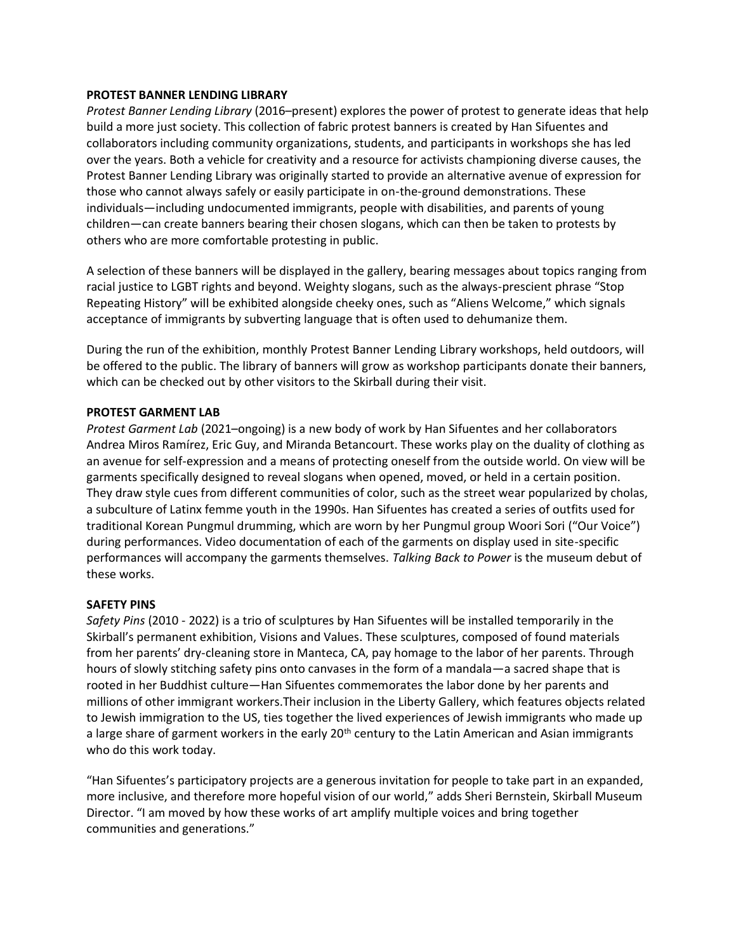### **PROTEST BANNER LENDING LIBRARY**

*Protest Banner Lending Library* (2016–present) explores the power of protest to generate ideas that help build a more just society. This collection of fabric protest banners is created by Han Sifuentes and collaborators including community organizations, students, and participants in workshops she has led over the years. Both a vehicle for creativity and a resource for activists championing diverse causes, the Protest Banner Lending Library was originally started to provide an alternative avenue of expression for those who cannot always safely or easily participate in on-the-ground demonstrations. These individuals—including undocumented immigrants, people with disabilities, and parents of young children—can create banners bearing their chosen slogans, which can then be taken to protests by others who are more comfortable protesting in public.

A selection of these banners will be displayed in the gallery, bearing messages about topics ranging from racial justice to LGBT rights and beyond. Weighty slogans, such as the always-prescient phrase "Stop Repeating History" will be exhibited alongside cheeky ones, such as "Aliens Welcome," which signals acceptance of immigrants by subverting language that is often used to dehumanize them.

During the run of the exhibition, monthly Protest Banner Lending Library workshops, held outdoors, will be offered to the public. The library of banners will grow as workshop participants donate their banners, which can be checked out by other visitors to the Skirball during their visit.

### **PROTEST GARMENT LAB**

*Protest Garment Lab* (2021–ongoing) is a new body of work by Han Sifuentes and her collaborators Andrea Miros Ramírez, Eric Guy, and Miranda Betancourt. These works play on the duality of clothing as an avenue for self-expression and a means of protecting oneself from the outside world. On view will be garments specifically designed to reveal slogans when opened, moved, or held in a certain position. They draw style cues from different communities of color, such as the street wear popularized by cholas, a subculture of Latinx femme youth in the 1990s. Han Sifuentes has created a series of outfits used for traditional Korean Pungmul drumming, which are worn by her Pungmul group Woori Sori ("Our Voice") during performances. Video documentation of each of the garments on display used in site-specific performances will accompany the garments themselves. *Talking Back to Power* is the museum debut of these works.

#### **SAFETY PINS**

*Safety Pins* (2010 - 2022) is a trio of sculptures by Han Sifuentes will be installed temporarily in the Skirball's permanent exhibition, Visions and Values. These sculptures, composed of found materials from her parents' dry-cleaning store in Manteca, CA, pay homage to the labor of her parents. Through hours of slowly stitching safety pins onto canvases in the form of a mandala—a sacred shape that is rooted in her Buddhist culture—Han Sifuentes commemorates the labor done by her parents and millions of other immigrant workers.Their inclusion in the Liberty Gallery, which features objects related to Jewish immigration to the US, ties together the lived experiences of Jewish immigrants who made up a large share of garment workers in the early 20<sup>th</sup> century to the Latin American and Asian immigrants who do this work today.

"Han Sifuentes's participatory projects are a generous invitation for people to take part in an expanded, more inclusive, and therefore more hopeful vision of our world," adds Sheri Bernstein, Skirball Museum Director. "I am moved by how these works of art amplify multiple voices and bring together communities and generations."